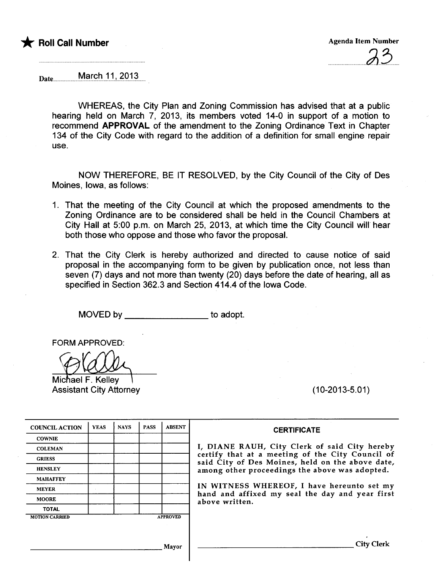

Date ...............M.arG-hJJ.!.?9J~....

WHEREAS, the City Plan and Zoning Commission has advised that at a public hearing held on March 7, 2013, its members voted 14-0 in support of a motion to recommend APPROVAL of the amendment to the Zoning Ordinance Text in Chapter 134 of the City Code with regard to the addition of a definition for small engine repair use.

NOW THEREFORE, BE IT RESOLVED, by the City Council of the City of Des Moines, Iowa, as follows:

- 1. That the meeting of the City Council at which the proposed amendments to the Zoning Ordinance are to be considered shall be held in the Council Chambers at City Hall at 5:00 p.m. on March 25, 2013, at which time the City Council will. hear both those who oppose and those who favor the proposaL.
- 2. That the City Clerk is hereby authorized and directed to cause notice of said proposal in the accompanying form to be given by publication once, not less than seven (7) days and not more than twenty (20) days before the date of hearing, all as specified in Section 362.3 and Section 414.4 of the Iowa Code.

MOVED by to adopt.

FORM APPROVED:

Michael F. Kellev Assistant City Attorney (10-2013-5.01)

| <b>COUNCIL ACTION</b> | <b>YEAS</b> | <b>NAYS</b> | <b>PASS</b> | <b>ABSENT</b>   |                   |
|-----------------------|-------------|-------------|-------------|-----------------|-------------------|
| <b>COWNIE</b>         |             |             |             |                 |                   |
| <b>COLEMAN</b>        |             |             |             |                 | I, DIA            |
| <b>GRIESS</b>         |             |             |             |                 | certify<br>said C |
| <b>HENSLEY</b>        |             |             |             |                 | among             |
| <b>MAHAFFEY</b>       |             |             |             |                 |                   |
| <b>MEYER</b>          |             |             |             |                 | IN WI             |
| <b>MOORE</b>          |             |             |             |                 | hand<br>above     |
| <b>TOTAL</b>          |             |             |             |                 |                   |
| <b>MOTION CARRIED</b> |             |             |             | <b>APPROVED</b> |                   |

#### **CERTIFICATE**

NNE RAUH, City Clerk of said City hereby y that at a meeting of the City Council of lity of Des Moines, held on the above date, g other proceedings the above was adopted.

ITNESS WHEREOF, I have hereunto set my and affixed my seal the day and year first written.

Mayor City Clerk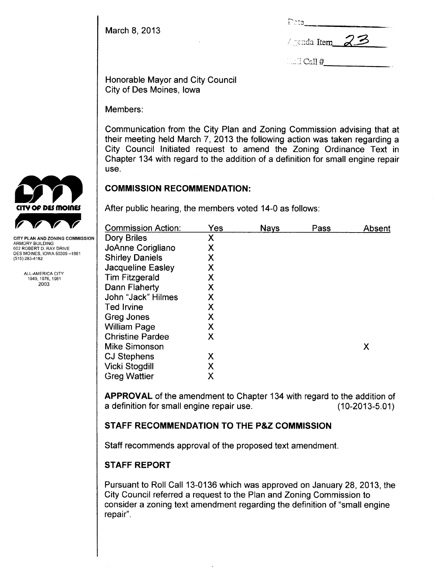March 8, 2013

| iPota. |                |
|--------|----------------|
|        | Agenda Item_23 |

 $\ldots$   $1$  Call  $#$ 

Honorable Mayor and City Council City of Des Moines, Iowa

Members:

Communication from the City Plan and Zoning Commission advising that at their meeting held March 7, 2013 the following action was taken regarding a City Council Initiated request to amend the Zoning Ordinance Text in Chapter 134 with regard to the addition of a definition for small engine repair use.

### COMMISSION RECOMMENDATION:

After public hearing, the members voted 14-0 as follows:

| <b>Commission Action:</b> | Yes | <b>Nays</b> | Pass | Absent |
|---------------------------|-----|-------------|------|--------|
| Dory Briles               | Χ   |             |      |        |
| JoAnne Corigliano         | Χ   |             |      |        |
| <b>Shirley Daniels</b>    | Χ   |             |      |        |
| Jacqueline Easley         | Χ   |             |      |        |
| <b>Tim Fitzgerald</b>     | Χ   |             |      |        |
| Dann Flaherty             | Χ   |             |      |        |
| John "Jack" Hilmes        | Χ   |             |      |        |
| <b>Ted Irvine</b>         | Χ   |             |      |        |
| Greg Jones                | Χ   |             |      |        |
| <b>William Page</b>       | Χ   |             |      |        |
| <b>Christine Pardee</b>   | Χ   |             |      |        |
| <b>Mike Simonson</b>      |     |             |      | Χ      |
| <b>CJ Stephens</b>        | Χ   |             |      |        |
| <b>Vicki Stogdill</b>     | Χ   |             |      |        |
| <b>Greg Wattier</b>       | Χ   |             |      |        |
|                           |     |             |      |        |

APPROVAL of the amendment to Chapter 134 with regard to the addition of a definition for small engine repair use. (10-2013-5.01)

## STAFF RECOMMENDATION TO THE P&Z COMMISSION

Staff recommends approval of the proposed text amendment.

# STAFF REPORT

Pursuant to Roll Call 13-0136 which was approved on January 28, 2013, the City Council referred a request to the Plan and Zoning Commission to consider a zoning text amendment regarding the definition of "small engine repair",



ARMORY BUILDING 602 ROBERT D. RAY DRIVE DES MOINES, IOWA 50309-1881 (515) 283-4182

> ALL-AMERICA CITY 1949.1976,1981 2003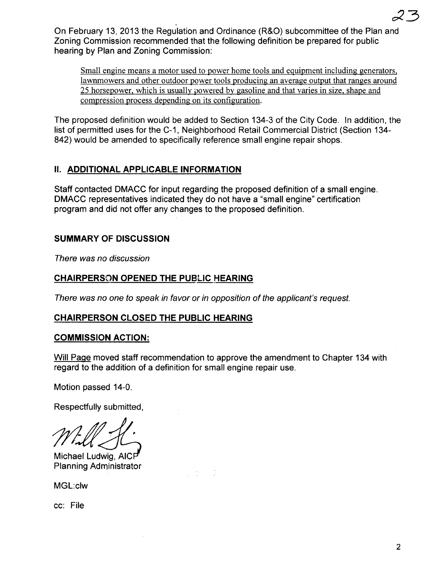, and the contract of  $23$ On February 13, 2013 the Regulation and Ordinance (R&O) subcommittee of the Plan and Zoning Commission recommended that the following definition be prepared for public hearing by Plan and Zoning Commission:

Small engine means a motor used to power home tools and equipment including generators, lawnmowers and other outdoor power tools producing an average output that ranges around 25 horsepower, which is usually powered by gasoline and that varies in size, shape and compression process depending on its configuration.

The proposed definition would be added to Section 134-3 of the City Code. In addition, the list of permitted uses for the C-1, Neighborhood Retail Commercial District (Section 134- 842) would be amended to specifically reference small engine repair shops.

### II. ADDITIONAL APPLICABLE INFORMATION

Staff contacted DMACC for input regarding the proposed definition of a small engine. DMACC representatives indicated they do not have a "small engine" certification program and did not offer any changes to the proposed definition.

### SUMMARY OF DISCUSSION

There was no discussion

### CHAIRPERSON OPENED THE PUBLIC HEARING

There was no one to speak in favor or in opposition of the applicant's request.

 $\sigma_{\rm{eff}} \sim 10^{-11}$ 

#### CHAIRPERSON CLOSED THE PUBLIC HEARING

#### COMMISSION ACTION:

Will Page moved staff recommendation to approve the amendment to Chapter 134 with regard to the addition of a definition for small engine repair use.

Motion passed 14-0.

Respectfully submitted,

Michael Ludwig, AICF Planning Administrator

MGL:clw

cc: File